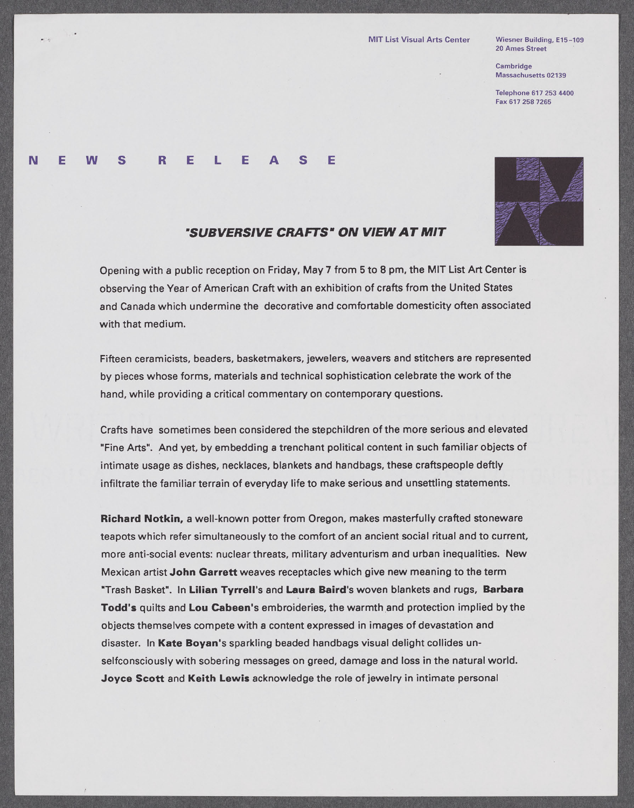## **MIT List Visual Arts Center Wiesner Building, E15-109**

**20 Ames Street**

**Cambridge Massachusetts 02139**

**Telephone [617 253 4400](tel:6172534400) Fax [617 258 7265](fax:6172587265)**

## **N E W S R E** L **E A S E**

 $\bullet$ 



## *'SUBVERSIVE CRAFTS" ON VIEW AT MIT*

Opening with a public reception on Friday, May **7** from **5** to **8** pm, the MIT List Art Center is observing the Year of American Craft with an exhibition of crafts from the United States and Canada which undermine the decorative and comfortable domesticity often associated with that medium.

Fifteen ceramicists, beaders, basketmakers, jewelers, weavers and stitchers are represented **by** pieces whose forms, materials and technical sophistication celebrate the work of the hand, while providing a critical commentary on contemporary questions.

Crafts have sometimes been considered the stepchildren of the more serious and elevated "Fine **Arts".** And yet, **by** embedding a trenchant political content in such familiar objects of intimate usage as dishes, necklaces, blankets and handbags, these craftspeople deftly infiltrate the familiar terrain of everyday life to make serious and unsettling statements.

**Richard Notkin, a** well-known potter from Oregon, makes masterfully crafted stoneware teapots which refer simultaneously to the comfort of an ancient social ritual and to current, more anti-social events: nuclear threats, military adventurism and urban inequalities. New Mexican artist **John Garrett** weaves receptacles which give new meaning to the term "Trash Basket". In **Lilian Tyrrell's and Laura Baird's woven** blankets and rugs, **Barbara Todd's** quilts and **Lou Cabeen's** embroideries, the warmth and protection implied **by** the objects themselves compete with a content expressed in images of devastation and disaster. In **Kate Boyan's** sparkling beaded handbags visual delight collides unselfconsciously with sobering messages on greed, damage and loss in the natural world. **Joyce Scott** and Keith Lewis acknowledge the role of jewelry in intimate personal